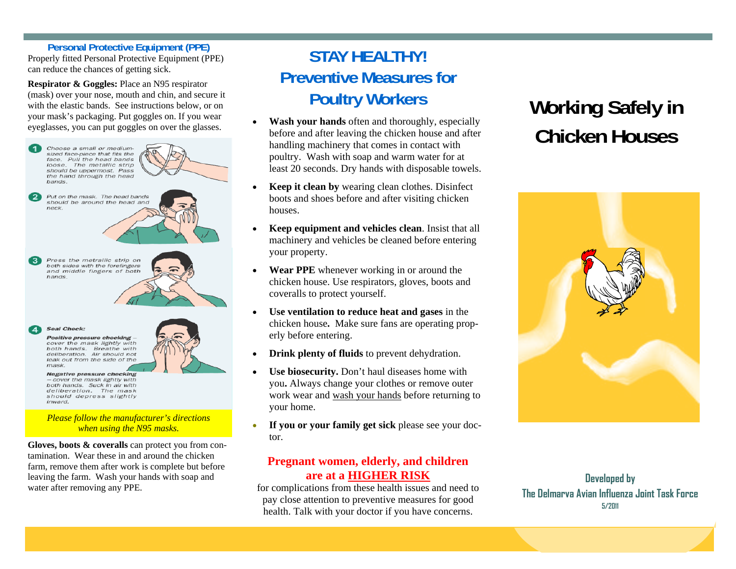#### **Personal Protective Equipment (PPE)**

Properly fitted Personal Protective Equipment (PPE) can reduce the chances of getting sick.

**Respirator & Goggles:** Place an N95 respirator (mask) over your nose, mouth and chin, and secure it with the elastic bands. See instructions below, or on your mask's packaging. Put goggles on. If you wear eyeglasses, you can put goggles on over the glasses.



**Gloves, boots & coveralls** can protect you from contamination. Wear these in and around the chicken farm, remove them after work is complete but before leaving the farm. Wash your hands with soap and water after removing any PPE.

## **STAY HEALTHY! Preventive Measures for Poultry Workers**

- **Wash your hands** often and thoroughly, especially before and after leaving the chicken house and after handling machinery that comes in contact with poultry. Wash with soap and warm water for at least 20 seconds. Dry hands with disposable towels.
- **Keep it clean by** wearing clean clothes. Disinfect boots and shoes before and after visiting chicken houses.
- **Keep equipment and vehicles clean**. Insist that all machinery and vehicles be cleaned before entering your property.
- **Wear PPE** whenever working in or around the chicken house. Use respirators, gloves, boots and coveralls to protect yourself.
- **Use ventilation to reduce heat and gases** in the chicken house**.** Make sure fans are operating properly before entering.
- **Drink plenty of fluids** to prevent dehydration.
- Use biosecurity. Don't haul diseases home with you**.** Always change your clothes or remove outer work wear and wash your hands before returning to your home.
- If you or your family get sick please see your doctor.

#### **Pregnant women, elderly, and children are at a HIGHER RISK**

for complications from these health issues and need to pay close attention to preventive measures for good health. Talk with your doctor if you have concerns.

# **Working Safely in Chicken Houses**



**Developed by The Delmarva Avian Influenza Joint Task Force 5/2011**